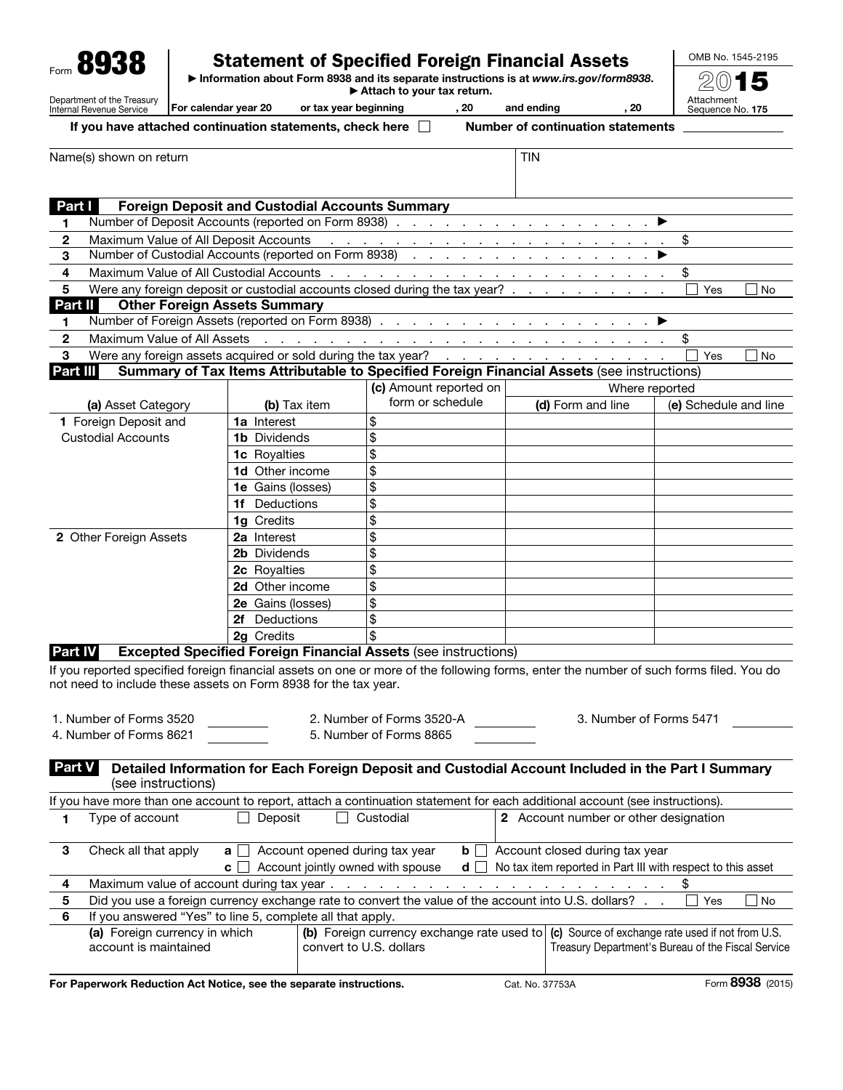| Form 8938                                                                                            | <b>Statement of Specified Foreign Financial Assets</b><br>Information about Form 8938 and its separate instructions is at www.irs.gov/form8938.<br>Attach to your tax return. |                       |      |            |     | OMB No. 1545-2195              |
|------------------------------------------------------------------------------------------------------|-------------------------------------------------------------------------------------------------------------------------------------------------------------------------------|-----------------------|------|------------|-----|--------------------------------|
|                                                                                                      |                                                                                                                                                                               |                       |      |            |     | 2015                           |
| Department of the Treasury<br>Internal Revenue Service                                               | For calendar year 20                                                                                                                                                          | or tax year beginning | . 20 | and ending | -20 | Attachment<br>Sequence No. 175 |
| If you have attached continuation statements, check here<br><b>Number of continuation statements</b> |                                                                                                                                                                               |                       |      |            |     |                                |
| Name(s) shown on return                                                                              |                                                                                                                                                                               |                       |      | <b>TIN</b> |     |                                |

| Part I                                                                                  | <b>Foreign Deposit and Custodial Accounts Summary</b> |                                                                                                                                                                                                                               |                   |                       |  |
|-----------------------------------------------------------------------------------------|-------------------------------------------------------|-------------------------------------------------------------------------------------------------------------------------------------------------------------------------------------------------------------------------------|-------------------|-----------------------|--|
| 1                                                                                       |                                                       |                                                                                                                                                                                                                               |                   |                       |  |
| $\mathbf{2}$                                                                            |                                                       |                                                                                                                                                                                                                               |                   |                       |  |
| 3                                                                                       |                                                       |                                                                                                                                                                                                                               |                   |                       |  |
| 4                                                                                       |                                                       |                                                                                                                                                                                                                               |                   | \$                    |  |
| 5                                                                                       |                                                       | Were any foreign deposit or custodial accounts closed during the tax year?                                                                                                                                                    |                   | Yes<br><b>No</b>      |  |
| Part II                                                                                 | <b>Other Foreign Assets Summary</b>                   |                                                                                                                                                                                                                               |                   |                       |  |
| 1                                                                                       |                                                       |                                                                                                                                                                                                                               |                   |                       |  |
| Maximum Value of All Assets<br>$\mathbf{2}$                                             |                                                       | and a construction of the construction of the construction of the construction of the construction of the construction of the construction of the construction of the construction of the construction of the construction of |                   |                       |  |
| 3                                                                                       |                                                       |                                                                                                                                                                                                                               |                   | <b>No</b><br>Yes      |  |
| Part III                                                                                |                                                       | Summary of Tax Items Attributable to Specified Foreign Financial Assets (see instructions)                                                                                                                                    |                   |                       |  |
|                                                                                         |                                                       | (c) Amount reported on                                                                                                                                                                                                        |                   | Where reported        |  |
| (a) Asset Category                                                                      | (b) Tax item                                          | form or schedule                                                                                                                                                                                                              | (d) Form and line | (e) Schedule and line |  |
| 1 Foreign Deposit and                                                                   | 1a Interest                                           | \$                                                                                                                                                                                                                            |                   |                       |  |
| <b>Custodial Accounts</b>                                                               | <b>1b</b> Dividends                                   | \$                                                                                                                                                                                                                            |                   |                       |  |
|                                                                                         | <b>1c</b> Royalties                                   | \$                                                                                                                                                                                                                            |                   |                       |  |
|                                                                                         | <b>1d</b> Other income                                | \$                                                                                                                                                                                                                            |                   |                       |  |
|                                                                                         | 1e Gains (losses)                                     | \$                                                                                                                                                                                                                            |                   |                       |  |
|                                                                                         | 1f Deductions                                         | \$                                                                                                                                                                                                                            |                   |                       |  |
|                                                                                         | 1g Credits                                            | \$                                                                                                                                                                                                                            |                   |                       |  |
| 2 Other Foreign Assets                                                                  | 2a Interest                                           | \$                                                                                                                                                                                                                            |                   |                       |  |
|                                                                                         | <b>2b</b> Dividends                                   | \$                                                                                                                                                                                                                            |                   |                       |  |
|                                                                                         | 2c Royalties                                          | \$                                                                                                                                                                                                                            |                   |                       |  |
|                                                                                         | 2d Other income                                       | \$                                                                                                                                                                                                                            |                   |                       |  |
|                                                                                         | 2e Gains (losses)                                     | \$                                                                                                                                                                                                                            |                   |                       |  |
|                                                                                         | Deductions<br>2f                                      | \$                                                                                                                                                                                                                            |                   |                       |  |
|                                                                                         | 2g Credits                                            | \$                                                                                                                                                                                                                            |                   |                       |  |
| <b>Excepted Specified Foreign Financial Assets (see instructions)</b><br><u>Part IV</u> |                                                       |                                                                                                                                                                                                                               |                   |                       |  |
|                                                                                         |                                                       | ord rained and although the control of the control of the following from the distribution of cools from the di Marche                                                                                                         |                   |                       |  |

If you reported specified foreign financial assets on one or more of the following forms, enter the number of such forms filed. You do not need to include these assets on Form 8938 for the tax year.

| 1. Number of Forms 3520 | 2. Number of Forms 3520-A | 3. Number of Forms 5471 |
|-------------------------|---------------------------|-------------------------|
| 4. Number of Forms 8621 | 5. Number of Forms 8865   |                         |

## Part V Detailed Information for Each Foreign Deposit and Custodial Account Included in the Part I Summary (see instructions)

|   | If you have more than one account to report, attach a continuation statement for each additional account (see instructions). |         |                                                       |          |                                       |                                                             |
|---|------------------------------------------------------------------------------------------------------------------------------|---------|-------------------------------------------------------|----------|---------------------------------------|-------------------------------------------------------------|
|   | Type of account                                                                                                              | Deposit | Custodial                                             |          | 2 Account number or other designation |                                                             |
| з | Check all that apply                                                                                                         |         | $\mathbf{a}$   Account opened during tax year         | $b$      | Account closed during tax year        |                                                             |
|   |                                                                                                                              |         | $\mathbf{c}$ $\Box$ Account jointly owned with spouse | $d \mid$ |                                       | No tax item reported in Part III with respect to this asset |
|   |                                                                                                                              |         |                                                       |          |                                       |                                                             |
| 5 | Did you use a foreign currency exchange rate to convert the value of the account into U.S. dollars?<br>  No<br>Yes           |         |                                                       |          |                                       |                                                             |
| 6 | If you answered "Yes" to line 5, complete all that apply.                                                                    |         |                                                       |          |                                       |                                                             |
|   | (a) Foreign currency in which<br>(b) Foreign currency exchange rate used to                                                  |         | (c) Source of exchange rate used if not from U.S.     |          |                                       |                                                             |
|   | account is maintained                                                                                                        |         | convert to U.S. dollars                               |          |                                       | Treasury Department's Bureau of the Fiscal Service          |
|   |                                                                                                                              |         |                                                       |          |                                       |                                                             |

For Paperwork Reduction Act Notice, see the separate instructions. Cat. No. 37753A Form 8938 (2015)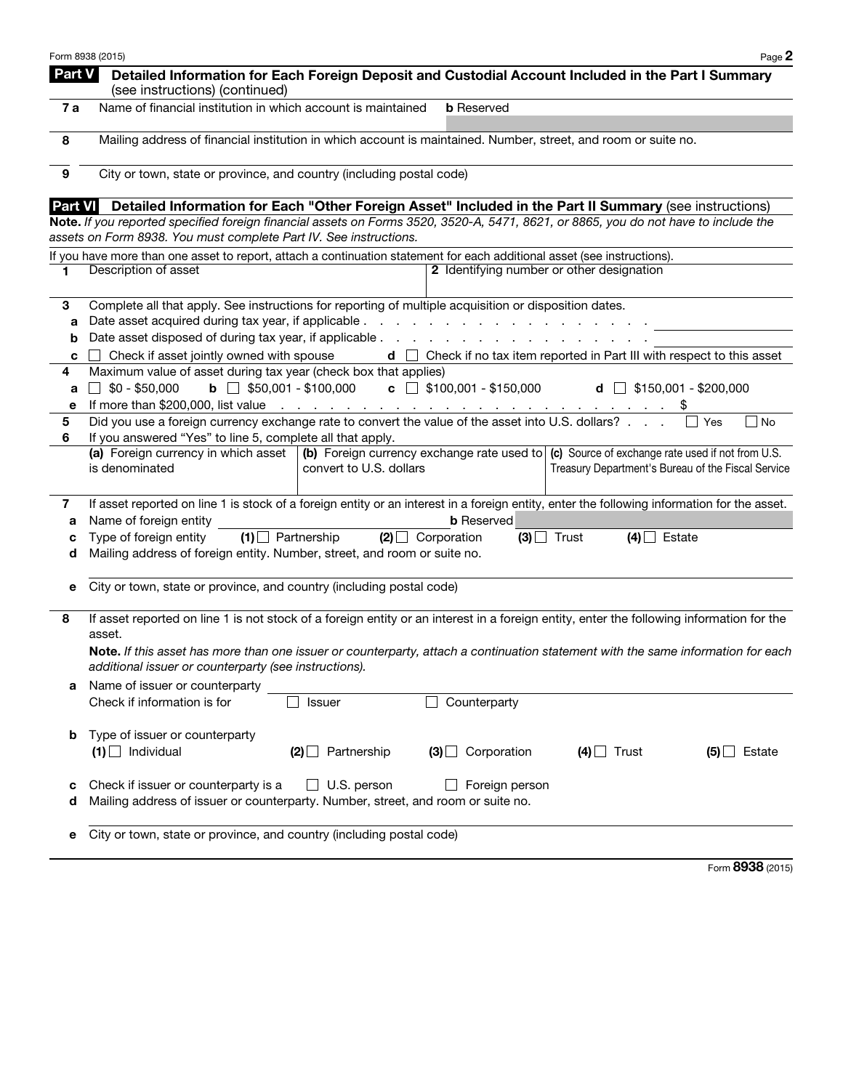|               | Form 8938 (2015)                                                                                                                                                                                         | Page 2                                                                                                                                               |  |  |  |
|---------------|----------------------------------------------------------------------------------------------------------------------------------------------------------------------------------------------------------|------------------------------------------------------------------------------------------------------------------------------------------------------|--|--|--|
| <b>Part V</b> | (see instructions) (continued)                                                                                                                                                                           | Detailed Information for Each Foreign Deposit and Custodial Account Included in the Part I Summary                                                   |  |  |  |
| 7a            | Name of financial institution in which account is maintained                                                                                                                                             | <b>b</b> Reserved                                                                                                                                    |  |  |  |
| 8             | Mailing address of financial institution in which account is maintained. Number, street, and room or suite no.                                                                                           |                                                                                                                                                      |  |  |  |
| 9             | City or town, state or province, and country (including postal code)                                                                                                                                     |                                                                                                                                                      |  |  |  |
| Part VI       |                                                                                                                                                                                                          | Detailed Information for Each "Other Foreign Asset" Included in the Part II Summary (see instructions)                                               |  |  |  |
|               | Note. If you reported specified foreign financial assets on Forms 3520, 3520-A, 5471, 8621, or 8865, you do not have to include the<br>assets on Form 8938. You must complete Part IV. See instructions. |                                                                                                                                                      |  |  |  |
|               | If you have more than one asset to report, attach a continuation statement for each additional asset (see instructions).                                                                                 |                                                                                                                                                      |  |  |  |
| 1.            | Description of asset                                                                                                                                                                                     | 2 Identifying number or other designation                                                                                                            |  |  |  |
| 3             | Complete all that apply. See instructions for reporting of multiple acquisition or disposition dates.                                                                                                    |                                                                                                                                                      |  |  |  |
| а             |                                                                                                                                                                                                          |                                                                                                                                                      |  |  |  |
| b             |                                                                                                                                                                                                          |                                                                                                                                                      |  |  |  |
| c             | Check if asset jointly owned with spouse                                                                                                                                                                 | $d \Box$ Check if no tax item reported in Part III with respect to this asset                                                                        |  |  |  |
| 4             | Maximum value of asset during tax year (check box that applies)                                                                                                                                          |                                                                                                                                                      |  |  |  |
| a             | \$0 - \$50,000<br><b>b</b> $\Box$ \$50,001 - \$100,000                                                                                                                                                   | $\mathbf{c}$ $\Box$ \$100,001 - \$150,000<br><b>d</b> $\Box$ \$150,001 - \$200,000                                                                   |  |  |  |
| е             | If more than \$200,000, list value $\ldots$ $\ldots$ $\ldots$ $\ldots$ $\ldots$ $\ldots$ $\ldots$ $\ldots$ $\ldots$ $\ddot{\text{ }s}$                                                                   |                                                                                                                                                      |  |  |  |
| 5             | Did you use a foreign currency exchange rate to convert the value of the asset into U.S. dollars?                                                                                                        | No<br>Yes                                                                                                                                            |  |  |  |
| 6             | If you answered "Yes" to line 5, complete all that apply.                                                                                                                                                |                                                                                                                                                      |  |  |  |
|               | (a) Foreign currency in which asset<br>convert to U.S. dollars<br>is denominated                                                                                                                         | (b) Foreign currency exchange rate used to   (c) Source of exchange rate used if not from U.S.<br>Treasury Department's Bureau of the Fiscal Service |  |  |  |
| 7             |                                                                                                                                                                                                          | If asset reported on line 1 is stock of a foreign entity or an interest in a foreign entity, enter the following information for the asset.          |  |  |  |
| а             | Name of foreign entity                                                                                                                                                                                   | <b>b</b> Reserved                                                                                                                                    |  |  |  |
| с             | Type of foreign entity<br>$(1)$ Partnership<br>$(2)$ Corporation                                                                                                                                         | $(3)$ Trust<br>$(4)$ Estate                                                                                                                          |  |  |  |
| d             | Mailing address of foreign entity. Number, street, and room or suite no.                                                                                                                                 |                                                                                                                                                      |  |  |  |
| е             | City or town, state or province, and country (including postal code)                                                                                                                                     |                                                                                                                                                      |  |  |  |
| 8             | asset.                                                                                                                                                                                                   | If asset reported on line 1 is not stock of a foreign entity or an interest in a foreign entity, enter the following information for the             |  |  |  |
|               | additional issuer or counterparty (see instructions).                                                                                                                                                    | Note. If this asset has more than one issuer or counterparty, attach a continuation statement with the same information for each                     |  |  |  |
|               | Name of issuer or counterparty                                                                                                                                                                           |                                                                                                                                                      |  |  |  |
|               | Check if information is for<br><b>Issuer</b>                                                                                                                                                             | Counterparty                                                                                                                                         |  |  |  |
| b             | Type of issuer or counterparty<br>$(1)$ Individual<br>$(2)$ Partnership                                                                                                                                  | $(3)$ Corporation<br>$(4)$ Trust<br>$(5)$ Estate                                                                                                     |  |  |  |
|               |                                                                                                                                                                                                          |                                                                                                                                                      |  |  |  |
| с             | Check if issuer or counterparty is a<br>U.S. person                                                                                                                                                      | $\Box$ Foreign person                                                                                                                                |  |  |  |
| d             | Mailing address of issuer or counterparty. Number, street, and room or suite no.                                                                                                                         |                                                                                                                                                      |  |  |  |
|               |                                                                                                                                                                                                          |                                                                                                                                                      |  |  |  |
| е             | City or town, state or province, and country (including postal code)                                                                                                                                     |                                                                                                                                                      |  |  |  |
|               |                                                                                                                                                                                                          |                                                                                                                                                      |  |  |  |

Form 8938 (2015)